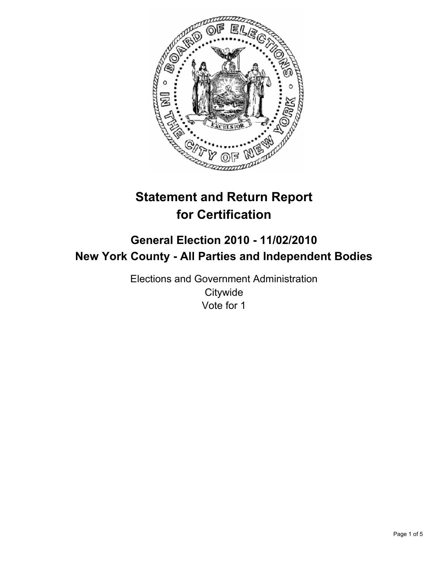

# **Statement and Return Report for Certification**

## **General Election 2010 - 11/02/2010 New York County - All Parties and Independent Bodies**

Elections and Government Administration **Citywide** Vote for 1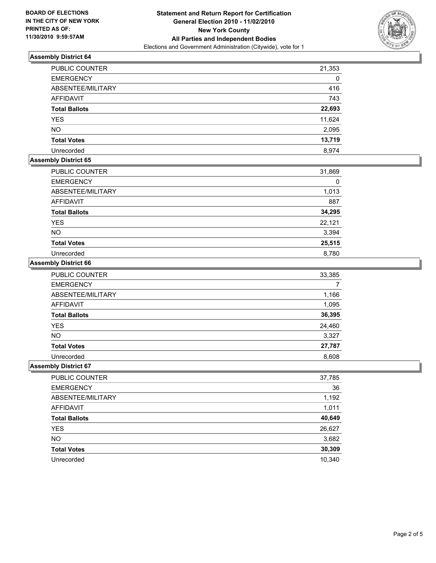

## **Assembly District 64**

| <b>PUBLIC COUNTER</b> | 21,353 |
|-----------------------|--------|
| <b>EMERGENCY</b>      | 0      |
| ABSENTEE/MILITARY     | 416    |
| <b>AFFIDAVIT</b>      | 743    |
| <b>Total Ballots</b>  | 22,693 |
| <b>YES</b>            | 11,624 |
| <b>NO</b>             | 2,095  |
| <b>Total Votes</b>    | 13,719 |
| Unrecorded            | 8.974  |

## **Assembly District 65**

| <b>PUBLIC COUNTER</b> | 31,869 |
|-----------------------|--------|
| <b>EMERGENCY</b>      |        |
| ABSENTEE/MILITARY     | 1,013  |
| <b>AFFIDAVIT</b>      | 887    |
| <b>Total Ballots</b>  | 34,295 |
| <b>YES</b>            | 22,121 |
| <b>NO</b>             | 3,394  |
| <b>Total Votes</b>    | 25,515 |
| Unrecorded            | 8,780  |

#### **Assembly District 66**

| <b>PUBLIC COUNTER</b> | 33,385 |
|-----------------------|--------|
| <b>EMERGENCY</b>      |        |
| ABSENTEE/MILITARY     | 1,166  |
| <b>AFFIDAVIT</b>      | 1,095  |
| <b>Total Ballots</b>  | 36,395 |
| <b>YES</b>            | 24,460 |
| <b>NO</b>             | 3,327  |
| <b>Total Votes</b>    | 27,787 |
| Unrecorded            | 8,608  |

#### **Assembly District 67**

| PUBLIC COUNTER       | 37,785 |
|----------------------|--------|
| <b>EMERGENCY</b>     | 36     |
| ABSENTEE/MILITARY    | 1,192  |
| AFFIDAVIT            | 1,011  |
| <b>Total Ballots</b> | 40,649 |
| <b>YES</b>           | 26,627 |
| <b>NO</b>            | 3,682  |
| <b>Total Votes</b>   | 30,309 |
| Unrecorded           | 10,340 |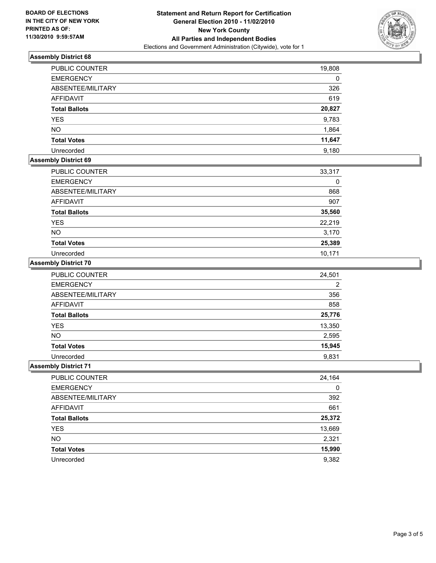

## **Assembly District 68**

| <b>PUBLIC COUNTER</b> | 19,808 |
|-----------------------|--------|
| <b>EMERGENCY</b>      | 0      |
| ABSENTEE/MILITARY     | 326    |
| <b>AFFIDAVIT</b>      | 619    |
| <b>Total Ballots</b>  | 20,827 |
| <b>YES</b>            | 9,783  |
| <b>NO</b>             | 1,864  |
| <b>Total Votes</b>    | 11,647 |
| Unrecorded            | 9,180  |

## **Assembly District 69**

| <b>PUBLIC COUNTER</b> | 33,317 |
|-----------------------|--------|
| <b>EMERGENCY</b>      | 0      |
| ABSENTEE/MILITARY     | 868    |
| <b>AFFIDAVIT</b>      | 907    |
| <b>Total Ballots</b>  | 35,560 |
| <b>YES</b>            | 22,219 |
| <b>NO</b>             | 3,170  |
| <b>Total Votes</b>    | 25,389 |
| Unrecorded            | 10,171 |

#### **Assembly District 70**

| <b>PUBLIC COUNTER</b> | 24,501         |
|-----------------------|----------------|
| <b>EMERGENCY</b>      | $\overline{2}$ |
| ABSENTEE/MILITARY     | 356            |
| <b>AFFIDAVIT</b>      | 858            |
| <b>Total Ballots</b>  | 25,776         |
| <b>YES</b>            | 13,350         |
| <b>NO</b>             | 2,595          |
| <b>Total Votes</b>    | 15,945         |
| Unrecorded            | 9,831          |

## **Assembly District 71**

| PUBLIC COUNTER       | 24,164 |
|----------------------|--------|
| <b>EMERGENCY</b>     | 0      |
| ABSENTEE/MILITARY    | 392    |
| AFFIDAVIT            | 661    |
| <b>Total Ballots</b> | 25,372 |
| <b>YES</b>           | 13,669 |
| <b>NO</b>            | 2,321  |
| <b>Total Votes</b>   | 15,990 |
| Unrecorded           | 9,382  |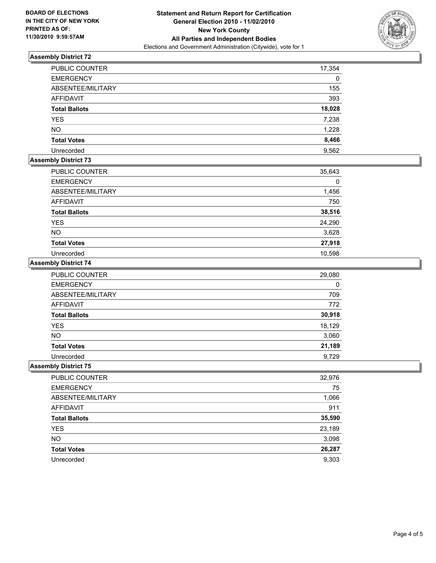

## **Assembly District 72**

| <b>PUBLIC COUNTER</b> | 17,354   |
|-----------------------|----------|
| <b>EMERGENCY</b>      | $\Omega$ |
| ABSENTEE/MILITARY     | 155      |
| <b>AFFIDAVIT</b>      | 393      |
| <b>Total Ballots</b>  | 18,028   |
| <b>YES</b>            | 7,238    |
| <b>NO</b>             | 1,228    |
| <b>Total Votes</b>    | 8,466    |
| Unrecorded            | 9,562    |

## **Assembly District 73**

| <b>PUBLIC COUNTER</b> | 35,643 |
|-----------------------|--------|
| <b>EMERGENCY</b>      | 0      |
| ABSENTEE/MILITARY     | 1,456  |
| AFFIDAVIT             | 750    |
| <b>Total Ballots</b>  | 38,516 |
| <b>YES</b>            | 24,290 |
| <b>NO</b>             | 3,628  |
| <b>Total Votes</b>    | 27,918 |
| Unrecorded            | 10,598 |

## **Assembly District 74**

| PUBLIC COUNTER       | 29,080 |
|----------------------|--------|
| <b>EMERGENCY</b>     | 0      |
| ABSENTEE/MILITARY    | 709    |
| <b>AFFIDAVIT</b>     | 772    |
| <b>Total Ballots</b> | 30,918 |
| <b>YES</b>           | 18,129 |
| <b>NO</b>            | 3,060  |
| <b>Total Votes</b>   | 21,189 |
| Unrecorded           | 9,729  |

#### **Assembly District 75**

| PUBLIC COUNTER       | 32,976 |
|----------------------|--------|
| <b>EMERGENCY</b>     | 75     |
| ABSENTEE/MILITARY    | 1,066  |
| AFFIDAVIT            | 911    |
| <b>Total Ballots</b> | 35,590 |
| <b>YES</b>           | 23,189 |
| <b>NO</b>            | 3,098  |
| <b>Total Votes</b>   | 26,287 |
| Unrecorded           | 9,303  |